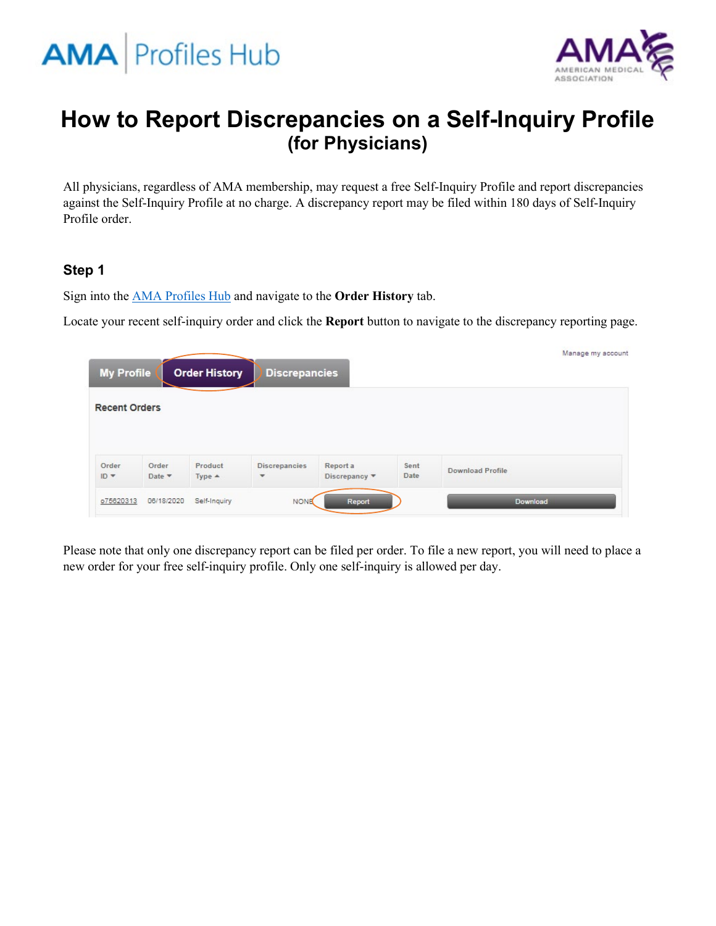



# **How to Report Discrepancies on a Self-Inquiry Profile (for Physicians)**

All physicians, regardless of AMA membership, may request a free Self-Inquiry Profile and report discrepancies against the Self-Inquiry Profile at no charge. A discrepancy report may be filed within 180 days of Self-Inquiry Profile order.

### **Step 1**

Sign into the [AMA Profiles Hub](http://www.amaprofileshub.org/) and navigate to the **Order History** tab.

Locate your recent self-inquiry order and click the **Report** button to navigate to the discrepancy reporting page.

| <b>My Profile</b>    |                 | <b>Order History</b> | <b>Discrepancies</b>      |                                              |              | Manage my account       |  |
|----------------------|-----------------|----------------------|---------------------------|----------------------------------------------|--------------|-------------------------|--|
| <b>Recent Orders</b> |                 |                      |                           |                                              |              |                         |  |
|                      |                 |                      |                           |                                              |              |                         |  |
| Order<br>$ID -$      | Order<br>Date * | Product<br>$Type -$  | <b>Discrepancies</b><br>۳ | Report a<br>Discrepancy $\blacktriangledown$ | Sent<br>Date | <b>Download Profile</b> |  |
| o75620313            | 06/18/2020      | Self-Inquiry         | <b>NONE</b>               | Report                                       |              | Download                |  |

Please note that only one discrepancy report can be filed per order. To file a new report, you will need to place a new order for your free self-inquiry profile. Only one self-inquiry is allowed per day.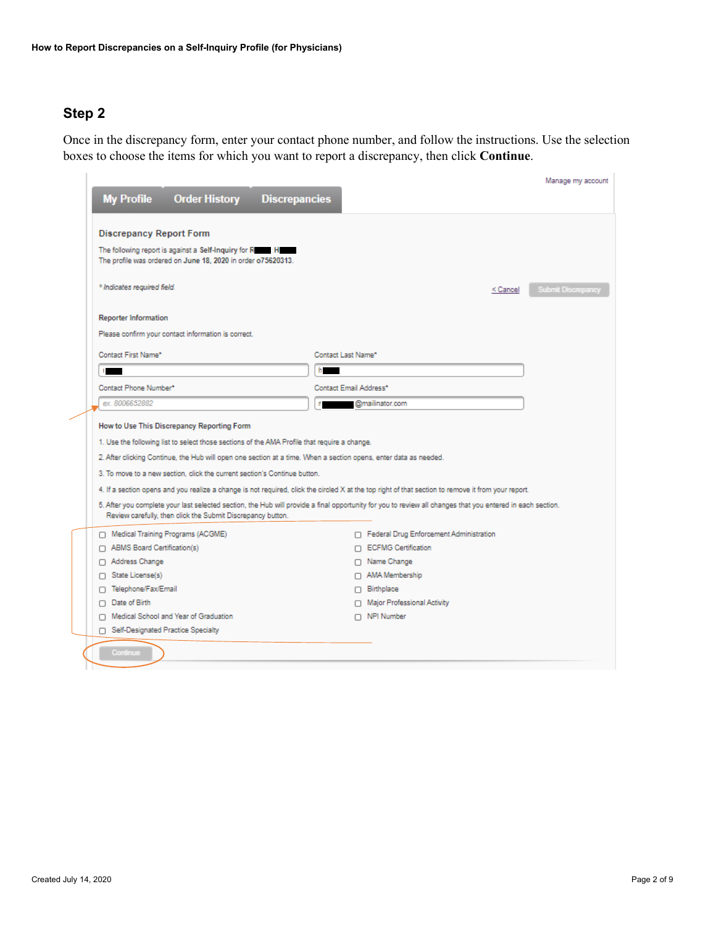╱

Once in the discrepancy form, enter your contact phone number, and follow the instructions. Use the selection boxes to choose the items for which you want to report a discrepancy, then click **Continue**.

| <b>My Profile</b><br><b>Order History Discrepancies</b>                                                  |                                                                                                                                                            | Manage my account                     |  |  |  |  |
|----------------------------------------------------------------------------------------------------------|------------------------------------------------------------------------------------------------------------------------------------------------------------|---------------------------------------|--|--|--|--|
|                                                                                                          |                                                                                                                                                            |                                       |  |  |  |  |
| <b>Discrepancy Report Form</b><br>The following report is against a Self-Inquiry for R<br>$\blacksquare$ |                                                                                                                                                            |                                       |  |  |  |  |
| The profile was ordered on June 18, 2020 in order o75620313.                                             |                                                                                                                                                            |                                       |  |  |  |  |
| * Indicates required field.                                                                              |                                                                                                                                                            | <b>Submit Discrepancy</b><br>< Cancel |  |  |  |  |
| <b>Reporter Information</b>                                                                              |                                                                                                                                                            |                                       |  |  |  |  |
| Please confirm your contact information is correct.                                                      |                                                                                                                                                            |                                       |  |  |  |  |
| Contact First Name*                                                                                      | Contact Last Name*                                                                                                                                         |                                       |  |  |  |  |
|                                                                                                          |                                                                                                                                                            |                                       |  |  |  |  |
| Contact Phone Number*                                                                                    | Contact Email Address*                                                                                                                                     |                                       |  |  |  |  |
| ex.8006652882                                                                                            | @mailinator.com                                                                                                                                            |                                       |  |  |  |  |
| How to Use This Discrepancy Reporting Form                                                               |                                                                                                                                                            |                                       |  |  |  |  |
| 1. Use the following list to select those sections of the AMA Profile that require a change.             |                                                                                                                                                            |                                       |  |  |  |  |
|                                                                                                          | 2. After clicking Continue, the Hub will open one section at a time. When a section opens, enter data as needed.                                           |                                       |  |  |  |  |
| 3. To move to a new section, click the current section's Continue button.                                |                                                                                                                                                            |                                       |  |  |  |  |
|                                                                                                          | 4. If a section opens and you realize a change is not required, click the circled X at the top right of that section to remove it from your report.        |                                       |  |  |  |  |
|                                                                                                          | 5. After you complete your last selected section, the Hub will provide a final opportunity for you to review all changes that you entered in each section. |                                       |  |  |  |  |
| Review carefully, then click the Submit Discrepancy button.                                              |                                                                                                                                                            |                                       |  |  |  |  |
| Medical Training Programs (ACGME)                                                                        | Federal Drug Enforcement Administration                                                                                                                    |                                       |  |  |  |  |
| ABMS Board Certification(s)                                                                              | □ ECFMG Certification                                                                                                                                      |                                       |  |  |  |  |
| Address Change                                                                                           | Name Change                                                                                                                                                |                                       |  |  |  |  |
| State License(s)<br>п                                                                                    | AMA Membership                                                                                                                                             |                                       |  |  |  |  |
| Telephone/Fax/Email<br>Ω                                                                                 | Birthplace                                                                                                                                                 |                                       |  |  |  |  |
| Date of Birth<br>п.                                                                                      | Major Professional Activity                                                                                                                                |                                       |  |  |  |  |
| Medical School and Year of Graduation<br>n.                                                              | NPI Number                                                                                                                                                 |                                       |  |  |  |  |
| □ Self-Designated Practice Specialty                                                                     |                                                                                                                                                            |                                       |  |  |  |  |
| Continue                                                                                                 |                                                                                                                                                            |                                       |  |  |  |  |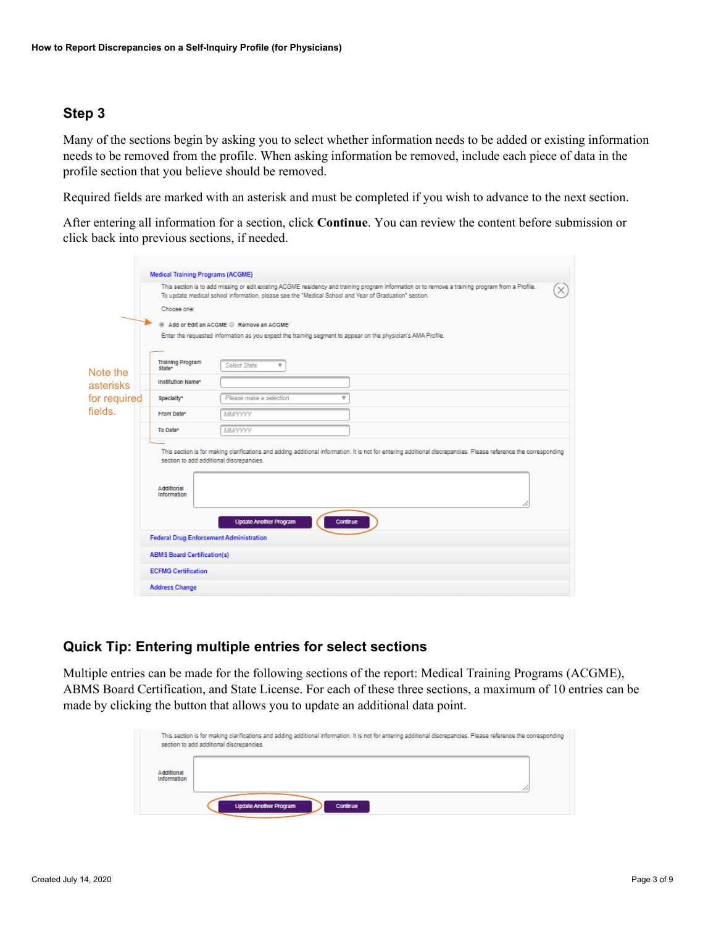Many of the sections begin by asking you to select whether information needs to be added or existing information needs to be removed from the profile. When asking information be removed, include each piece of data in the profile section that you believe should be removed.

Required fields are marked with an asterisk and must be completed if you wish to advance to the next section.

After entering all information for a section, click **Continue**. You can review the content before submission or click back into previous sections, if needed.

|              | <b>Medical Training Programs (ACGME)</b>                                                                                                                                                                                                                  |                                                                                                                                                                                                                                                           |  |  |  |  |  |  |
|--------------|-----------------------------------------------------------------------------------------------------------------------------------------------------------------------------------------------------------------------------------------------------------|-----------------------------------------------------------------------------------------------------------------------------------------------------------------------------------------------------------------------------------------------------------|--|--|--|--|--|--|
|              | This section is to add missing or edit existing ACGME residency and training program information or to remove a training program from a Profile.<br>To update medical school information, please see the "Medical School and Year of Graduation" section. |                                                                                                                                                                                                                                                           |  |  |  |  |  |  |
|              | Choose one:                                                                                                                                                                                                                                               |                                                                                                                                                                                                                                                           |  |  |  |  |  |  |
|              |                                                                                                                                                                                                                                                           | Add or Edit an ACGME C Remove an ACGME                                                                                                                                                                                                                    |  |  |  |  |  |  |
|              |                                                                                                                                                                                                                                                           | Enter the requested information as you expect the training segment to appear on the physician's AMA Profile.                                                                                                                                              |  |  |  |  |  |  |
|              |                                                                                                                                                                                                                                                           |                                                                                                                                                                                                                                                           |  |  |  |  |  |  |
| Note the     | <b>Training Program</b><br>State*                                                                                                                                                                                                                         | <b>Select State</b><br>v                                                                                                                                                                                                                                  |  |  |  |  |  |  |
| asterisks    | Institution Name*                                                                                                                                                                                                                                         |                                                                                                                                                                                                                                                           |  |  |  |  |  |  |
| for required | Specialty*                                                                                                                                                                                                                                                | Please make a selection                                                                                                                                                                                                                                   |  |  |  |  |  |  |
| fields.      | From Date*                                                                                                                                                                                                                                                | MMYYYYY                                                                                                                                                                                                                                                   |  |  |  |  |  |  |
|              | To Date*                                                                                                                                                                                                                                                  | MM/YYYYY                                                                                                                                                                                                                                                  |  |  |  |  |  |  |
|              | Additional<br><b>Information</b>                                                                                                                                                                                                                          | This section is for making clarifications and adding additional information. It is not for entering additional discrepancies. Please reference the corresponding<br>section to add additional discrepancies.<br><b>Update Another Program</b><br>Continue |  |  |  |  |  |  |
|              | <b>Federal Drug Enforcement Administration</b>                                                                                                                                                                                                            |                                                                                                                                                                                                                                                           |  |  |  |  |  |  |
|              | <b>ABMS Board Certification(s)</b>                                                                                                                                                                                                                        |                                                                                                                                                                                                                                                           |  |  |  |  |  |  |
|              | <b>ECFMG Certification</b>                                                                                                                                                                                                                                |                                                                                                                                                                                                                                                           |  |  |  |  |  |  |
|              | <b>Address Change</b>                                                                                                                                                                                                                                     |                                                                                                                                                                                                                                                           |  |  |  |  |  |  |

#### **Quick Tip: Entering multiple entries for select sections**

Multiple entries can be made for the following sections of the report: Medical Training Programs (ACGME), ABMS Board Certification, and State License. For each of these three sections, a maximum of 10 entries can be made by clicking the button that allows you to update an additional data point.

|                           | This section is for making clarifications and adding additional information. It is not for entering additional discrepancies. Please reference the corresponding<br>section to add additional discrepancies. |
|---------------------------|--------------------------------------------------------------------------------------------------------------------------------------------------------------------------------------------------------------|
| Additional<br>Information |                                                                                                                                                                                                              |
|                           | <b>Update Another Program</b><br>Continue                                                                                                                                                                    |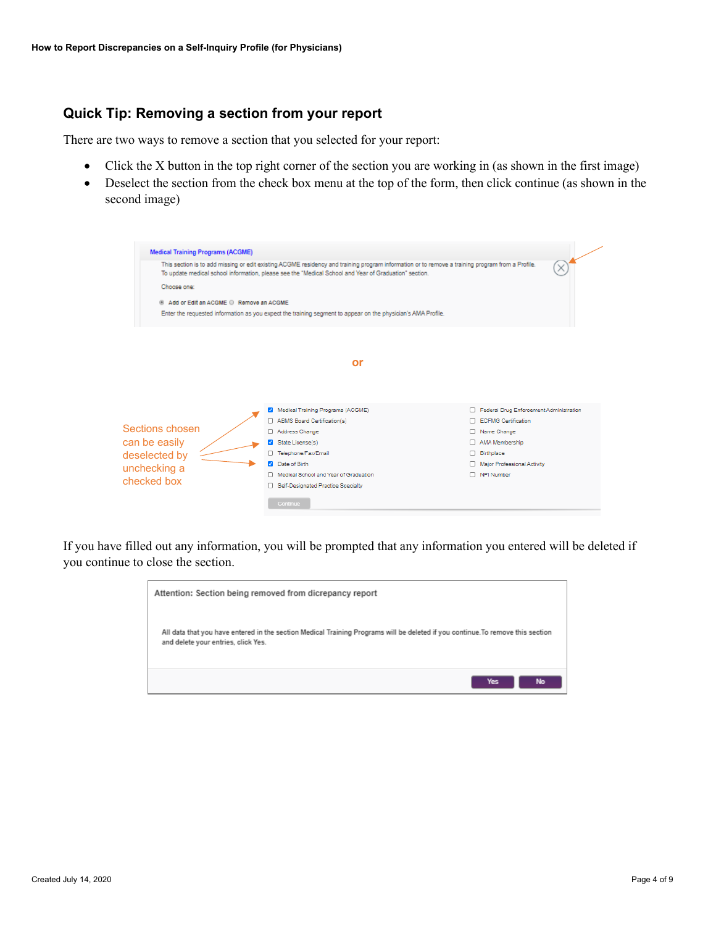## **Quick Tip: Removing a section from your report**

There are two ways to remove a section that you selected for your report:

- Click the X button in the top right corner of the section you are working in (as shown in the first image)
- Deselect the section from the check box menu at the top of the form, then click continue (as shown in the second image)

| <b>Medical Training Programs (ACGME)</b>                                                                                                                                                                                                                  |                                       |                                         |  |  |  |  |
|-----------------------------------------------------------------------------------------------------------------------------------------------------------------------------------------------------------------------------------------------------------|---------------------------------------|-----------------------------------------|--|--|--|--|
| This section is to add missing or edit existing ACGME residency and training program information or to remove a training program from a Profile.<br>To update medical school information, please see the "Medical School and Year of Graduation" section. |                                       |                                         |  |  |  |  |
| Choose one:                                                                                                                                                                                                                                               |                                       |                                         |  |  |  |  |
| Add or Edit an ACGME C Remove an ACGME                                                                                                                                                                                                                    |                                       |                                         |  |  |  |  |
| Enter the requested information as you expect the training segment to appear on the physician's AMA Profile.                                                                                                                                              |                                       |                                         |  |  |  |  |
|                                                                                                                                                                                                                                                           |                                       |                                         |  |  |  |  |
|                                                                                                                                                                                                                                                           | or                                    |                                         |  |  |  |  |
|                                                                                                                                                                                                                                                           |                                       |                                         |  |  |  |  |
|                                                                                                                                                                                                                                                           |                                       |                                         |  |  |  |  |
|                                                                                                                                                                                                                                                           | Medical Training Programs (ACGME)     | Federal Drug Enforcement Administration |  |  |  |  |
|                                                                                                                                                                                                                                                           | ABMS Board Certification(s)           | □ ECFMG Certification                   |  |  |  |  |
| Sections chosen                                                                                                                                                                                                                                           | Address Change                        | Name Change                             |  |  |  |  |
| can be easily                                                                                                                                                                                                                                             | State License(s)                      | AMA Membership                          |  |  |  |  |
| deselected by                                                                                                                                                                                                                                             | Telephone/Fax/Email                   | <b>Birthplace</b>                       |  |  |  |  |
| unchecking a                                                                                                                                                                                                                                              | Date of Birth                         | Major Professional Activity             |  |  |  |  |
|                                                                                                                                                                                                                                                           | Medical School and Year of Graduation | NPI Number                              |  |  |  |  |
| checked box                                                                                                                                                                                                                                               | Self-Designated Practice Specialty    |                                         |  |  |  |  |
|                                                                                                                                                                                                                                                           | Continue                              |                                         |  |  |  |  |
|                                                                                                                                                                                                                                                           |                                       |                                         |  |  |  |  |

If you have filled out any information, you will be prompted that any information you entered will be deleted if you continue to close the section.

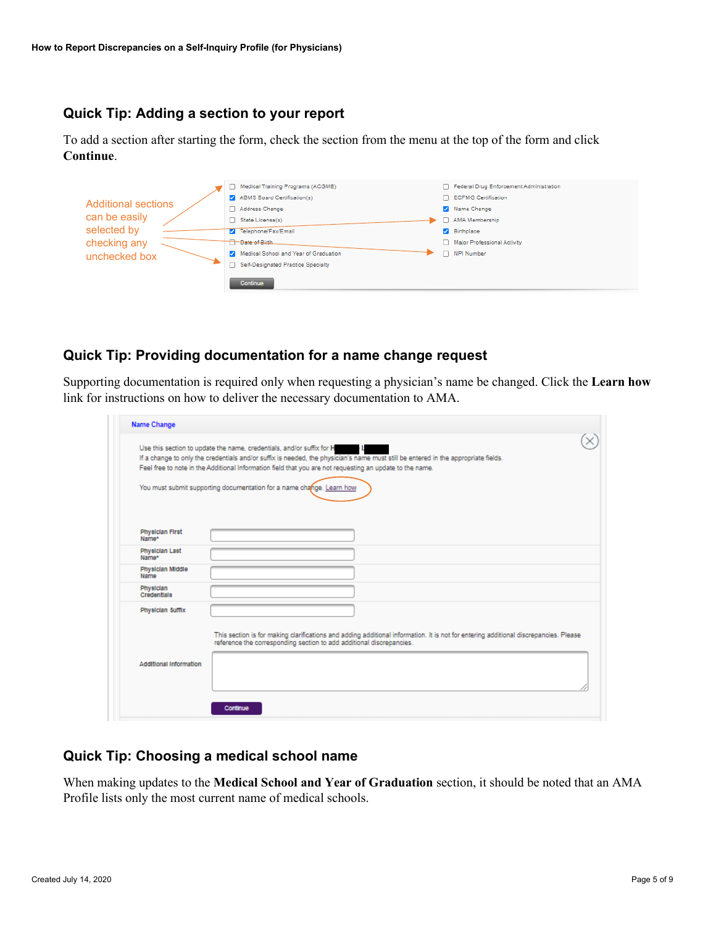# **Quick Tip: Adding a section to your report**

To add a section after starting the form, check the section from the menu at the top of the form and click **Continue**.

|                            | Medical Training Programs (ACGME)     | Federal Drug Enforcement Administration |
|----------------------------|---------------------------------------|-----------------------------------------|
|                            | ABMS Board Certification(s)           | □ ECFMG Certification                   |
| <b>Additional sections</b> | Address Change                        | Name Change                             |
| can be easily              | State License(s)                      | AMA Membership                          |
| selected by                | <b>7</b> Telephone/Fax/Email          | Birthplace                              |
| checking any               | <b>T</b> Date of Birth                | Major Professional Activity             |
| unchecked box              | Medical School and Year of Graduation | NPI Number                              |
|                            | Self-Designated Practice Specialty    |                                         |
|                            | Continue                              |                                         |

# **Quick Tip: Providing documentation for a name change request**

Supporting documentation is required only when requesting a physician's name be changed. Click the **Learn how** link for instructions on how to deliver the necessary documentation to AMA.

| Name Change                                                           |                                                                                                                                                                                                                                                |  |  |  |  |
|-----------------------------------------------------------------------|------------------------------------------------------------------------------------------------------------------------------------------------------------------------------------------------------------------------------------------------|--|--|--|--|
| Use this section to update the name, credentials, and/or suffix for H |                                                                                                                                                                                                                                                |  |  |  |  |
|                                                                       | If a change to only the credentials and/or suffix is needed, the physician's name must still be entered in the appropriate fields.<br>Feel free to note in the Additional Information field that you are not requesting an update to the name. |  |  |  |  |
|                                                                       |                                                                                                                                                                                                                                                |  |  |  |  |
|                                                                       | You must submit supporting documentation for a name change. Learn how                                                                                                                                                                          |  |  |  |  |
|                                                                       |                                                                                                                                                                                                                                                |  |  |  |  |
|                                                                       |                                                                                                                                                                                                                                                |  |  |  |  |
| <b>Physician First</b>                                                |                                                                                                                                                                                                                                                |  |  |  |  |
| Name*                                                                 |                                                                                                                                                                                                                                                |  |  |  |  |
| <b>Physician Last</b><br>Name*                                        |                                                                                                                                                                                                                                                |  |  |  |  |
| Physician Middle<br>Name                                              |                                                                                                                                                                                                                                                |  |  |  |  |
| Physician                                                             |                                                                                                                                                                                                                                                |  |  |  |  |
| Credentiala                                                           |                                                                                                                                                                                                                                                |  |  |  |  |
| Physician Suffix                                                      |                                                                                                                                                                                                                                                |  |  |  |  |
|                                                                       |                                                                                                                                                                                                                                                |  |  |  |  |
|                                                                       | This section is for making clarifications and adding additional information. It is not for entering additional discrepancies. Please<br>reference the corresponding section to add additional discrepancies.                                   |  |  |  |  |
|                                                                       |                                                                                                                                                                                                                                                |  |  |  |  |
| Additional Information                                                |                                                                                                                                                                                                                                                |  |  |  |  |
|                                                                       |                                                                                                                                                                                                                                                |  |  |  |  |
|                                                                       |                                                                                                                                                                                                                                                |  |  |  |  |
|                                                                       |                                                                                                                                                                                                                                                |  |  |  |  |

### **Quick Tip: Choosing a medical school name**

When making updates to the **Medical School and Year of Graduation** section, it should be noted that an AMA Profile lists only the most current name of medical schools.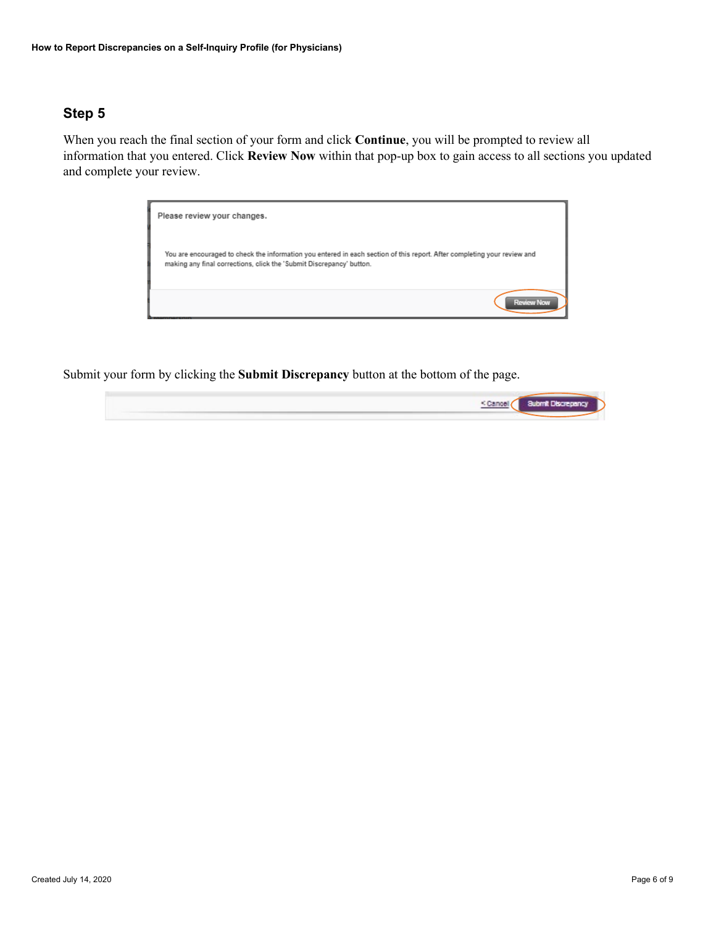When you reach the final section of your form and click **Continue**, you will be prompted to review all information that you entered. Click **Review Now** within that pop-up box to gain access to all sections you updated and complete your review.



Submit your form by clicking the **Submit Discrepancy** button at the bottom of the page.

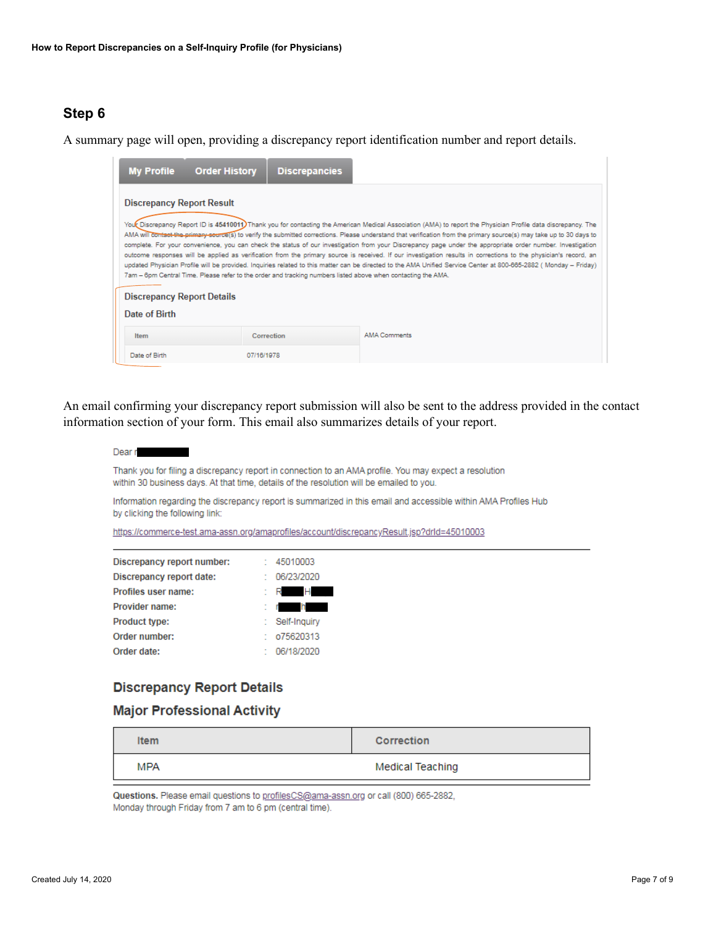A summary page will open, providing a discrepancy report identification number and report details.



An email confirming your discrepancy report submission will also be sent to the address provided in the contact information section of your form. This email also summarizes details of your report.

| Dear r                                                                                                                                                                                             |
|----------------------------------------------------------------------------------------------------------------------------------------------------------------------------------------------------|
| Thank you for filing a discrepancy report in connection to an AMA profile. You may expect a resolution<br>within 30 business days. At that time, details of the resolution will be emailed to you. |
| Information regarding the discrepancy report is summarized in this email and accessible within AMA Profiles Hub<br>by clicking the following link:                                                 |
| https://commerce-test.ama-assn.org/amaprofiles/account/discrepancyResult.isp?drld=45010003                                                                                                         |

|                            | 45010003     |
|----------------------------|--------------|
| Discrepancy report number: |              |
| Discrepancy report date:   | 06/23/2020   |
| Profiles user name:        | н            |
| Provider name:             | h            |
| <b>Product type:</b>       | Self-Inquiry |
| Order number:              | 075620313    |
| Order date:                | 06/18/2020   |

# **Discrepancy Report Details**

#### **Major Professional Activity**

| <b>Item</b> | <b>Correction</b>       |
|-------------|-------------------------|
| <b>MPA</b>  | <b>Medical Teaching</b> |

Questions. Please email questions to profilesCS@ama-assn.org or call (800) 665-2882, Monday through Friday from 7 am to 6 pm (central time).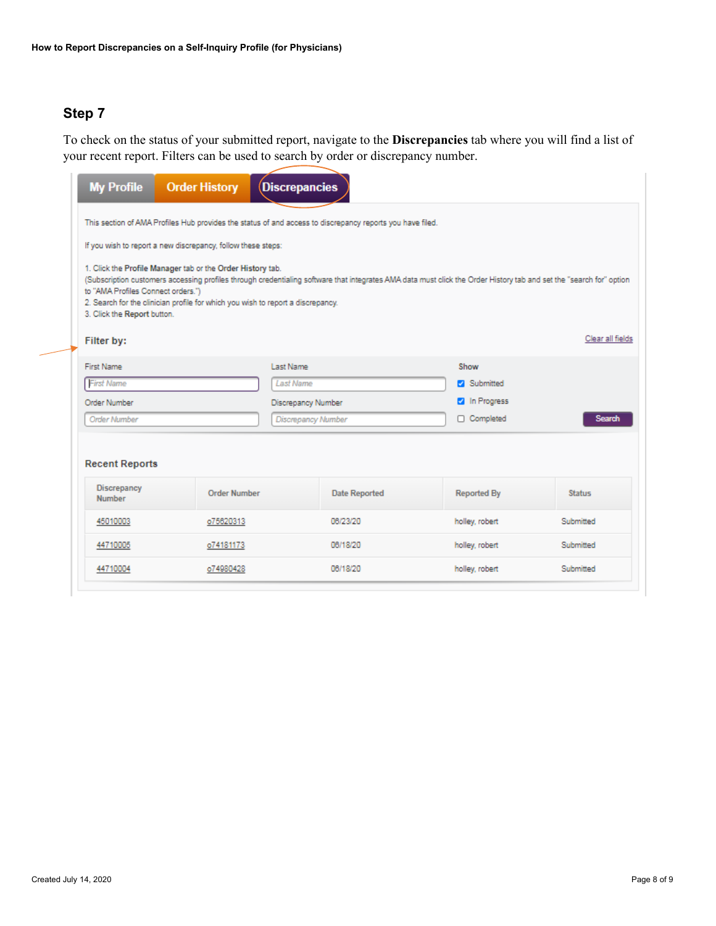To check on the status of your submitted report, navigate to the **Discrepancies** tab where you will find a list of your recent report. Filters can be used to search by order or discrepancy number.

| <b>My Profile</b>                                                                                                                                                                                                                                                                                                                                                                         | <b>Order History</b>                                         | <b>Discrepancies</b>      |                    |                |                      |  |  |
|-------------------------------------------------------------------------------------------------------------------------------------------------------------------------------------------------------------------------------------------------------------------------------------------------------------------------------------------------------------------------------------------|--------------------------------------------------------------|---------------------------|--------------------|----------------|----------------------|--|--|
| This section of AMA Profiles Hub provides the status of and access to discrepancy reports you have filed.                                                                                                                                                                                                                                                                                 |                                                              |                           |                    |                |                      |  |  |
|                                                                                                                                                                                                                                                                                                                                                                                           | If you wish to report a new discrepancy, follow these steps: |                           |                    |                |                      |  |  |
| 1. Click the Profile Manager tab or the Order History tab.<br>(Subscription customers accessing profiles through credentialing software that integrates AMA data must click the Order History tab and set the "search for" option<br>to "AMA Profiles Connect orders.")<br>2. Search for the clinician profile for which you wish to report a discrepancy.<br>3. Click the Report button. |                                                              |                           |                    |                |                      |  |  |
| Filter by:                                                                                                                                                                                                                                                                                                                                                                                |                                                              |                           |                    |                | Clear all fields     |  |  |
| First Name                                                                                                                                                                                                                                                                                                                                                                                |                                                              | Last Name                 |                    | Show           |                      |  |  |
| <b>First Name</b>                                                                                                                                                                                                                                                                                                                                                                         |                                                              | <b>Last Name</b>          |                    |                | Submitted            |  |  |
| Order Number                                                                                                                                                                                                                                                                                                                                                                              |                                                              |                           | Discrepancy Number |                | <b>2</b> In Progress |  |  |
| <b>Order Number</b>                                                                                                                                                                                                                                                                                                                                                                       |                                                              | <b>Discrepancy Number</b> |                    | □ Completed    | Search               |  |  |
| <b>Recent Reports</b><br><b>Discrepancy</b><br><b>Order Number</b><br><b>Date Reported</b><br><b>Reported By</b><br><b>Status</b><br><b>Number</b>                                                                                                                                                                                                                                        |                                                              |                           |                    |                |                      |  |  |
| 45010003                                                                                                                                                                                                                                                                                                                                                                                  | o75620313                                                    |                           | 06/23/20           | holley, robert | Submitted            |  |  |
| 44710005                                                                                                                                                                                                                                                                                                                                                                                  | o74181173                                                    |                           | 06/18/20           | holley, robert | Submitted            |  |  |
| 44710004                                                                                                                                                                                                                                                                                                                                                                                  | o74980428                                                    |                           | 06/18/20           | holley, robert | Submitted            |  |  |